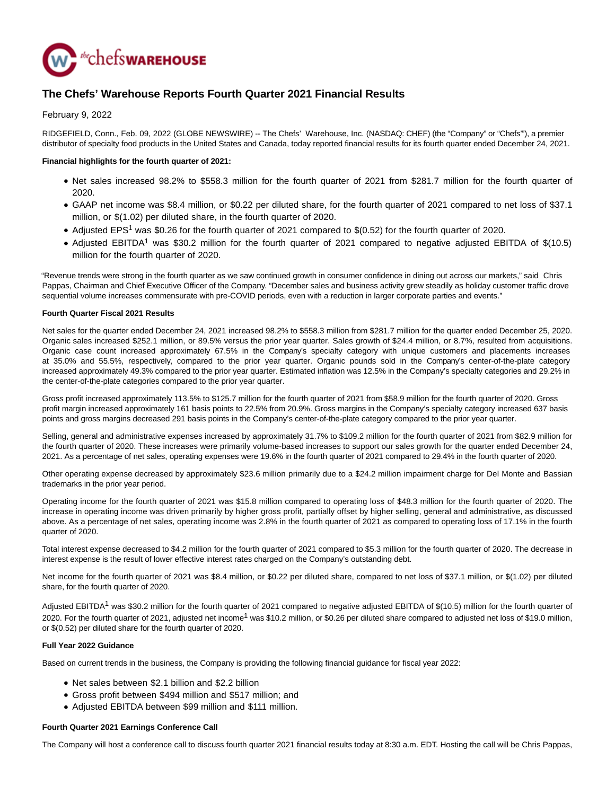

# **The Chefs' Warehouse Reports Fourth Quarter 2021 Financial Results**

February 9, 2022

RIDGEFIELD, Conn., Feb. 09, 2022 (GLOBE NEWSWIRE) -- The Chefs' Warehouse, Inc. (NASDAQ: CHEF) (the "Company" or "Chefs'"), a premier distributor of specialty food products in the United States and Canada, today reported financial results for its fourth quarter ended December 24, 2021.

# **Financial highlights for the fourth quarter of 2021:**

- Net sales increased 98.2% to \$558.3 million for the fourth quarter of 2021 from \$281.7 million for the fourth quarter of 2020.
- GAAP net income was \$8.4 million, or \$0.22 per diluted share, for the fourth quarter of 2021 compared to net loss of \$37.1 million, or \$(1.02) per diluted share, in the fourth quarter of 2020.
- Adjusted EPS<sup>1</sup> was \$0.26 for the fourth quarter of 2021 compared to \$(0.52) for the fourth quarter of 2020.
- Adjusted EBITDA<sup>1</sup> was \$30.2 million for the fourth quarter of 2021 compared to negative adjusted EBITDA of \$(10.5) million for the fourth quarter of 2020.

"Revenue trends were strong in the fourth quarter as we saw continued growth in consumer confidence in dining out across our markets," said Chris Pappas, Chairman and Chief Executive Officer of the Company. "December sales and business activity grew steadily as holiday customer traffic drove sequential volume increases commensurate with pre-COVID periods, even with a reduction in larger corporate parties and events."

# **Fourth Quarter Fiscal 2021 Results**

Net sales for the quarter ended December 24, 2021 increased 98.2% to \$558.3 million from \$281.7 million for the quarter ended December 25, 2020. Organic sales increased \$252.1 million, or 89.5% versus the prior year quarter. Sales growth of \$24.4 million, or 8.7%, resulted from acquisitions. Organic case count increased approximately 67.5% in the Company's specialty category with unique customers and placements increases at 35.0% and 55.5%, respectively, compared to the prior year quarter. Organic pounds sold in the Company's center-of-the-plate category increased approximately 49.3% compared to the prior year quarter. Estimated inflation was 12.5% in the Company's specialty categories and 29.2% in the center-of-the-plate categories compared to the prior year quarter.

Gross profit increased approximately 113.5% to \$125.7 million for the fourth quarter of 2021 from \$58.9 million for the fourth quarter of 2020. Gross profit margin increased approximately 161 basis points to 22.5% from 20.9%. Gross margins in the Company's specialty category increased 637 basis points and gross margins decreased 291 basis points in the Company's center-of-the-plate category compared to the prior year quarter.

Selling, general and administrative expenses increased by approximately 31.7% to \$109.2 million for the fourth quarter of 2021 from \$82.9 million for the fourth quarter of 2020. These increases were primarily volume-based increases to support our sales growth for the quarter ended December 24, 2021. As a percentage of net sales, operating expenses were 19.6% in the fourth quarter of 2021 compared to 29.4% in the fourth quarter of 2020.

Other operating expense decreased by approximately \$23.6 million primarily due to a \$24.2 million impairment charge for Del Monte and Bassian trademarks in the prior year period.

Operating income for the fourth quarter of 2021 was \$15.8 million compared to operating loss of \$48.3 million for the fourth quarter of 2020. The increase in operating income was driven primarily by higher gross profit, partially offset by higher selling, general and administrative, as discussed above. As a percentage of net sales, operating income was 2.8% in the fourth quarter of 2021 as compared to operating loss of 17.1% in the fourth quarter of 2020.

Total interest expense decreased to \$4.2 million for the fourth quarter of 2021 compared to \$5.3 million for the fourth quarter of 2020. The decrease in interest expense is the result of lower effective interest rates charged on the Company's outstanding debt.

Net income for the fourth quarter of 2021 was \$8.4 million, or \$0.22 per diluted share, compared to net loss of \$37.1 million, or \$(1.02) per diluted share, for the fourth quarter of 2020.

Adjusted EBITDA<sup>1</sup> was \$30.2 million for the fourth quarter of 2021 compared to negative adjusted EBITDA of \$(10.5) million for the fourth quarter of 2020. For the fourth quarter of 2021, adjusted net income<sup>1</sup> was \$10.2 million, or \$0.26 per diluted share compared to adjusted net loss of \$19.0 million, or \$(0.52) per diluted share for the fourth quarter of 2020.

# **Full Year 2022 Guidance**

Based on current trends in the business, the Company is providing the following financial guidance for fiscal year 2022:

- Net sales between \$2.1 billion and \$2.2 billion
- Gross profit between \$494 million and \$517 million; and
- Adjusted EBITDA between \$99 million and \$111 million.

# **Fourth Quarter 2021 Earnings Conference Call**

The Company will host a conference call to discuss fourth quarter 2021 financial results today at 8:30 a.m. EDT. Hosting the call will be Chris Pappas,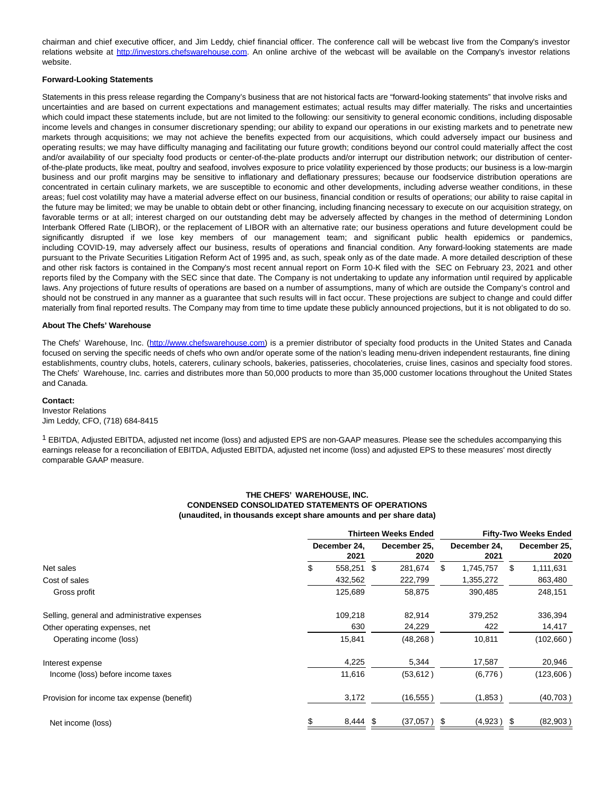chairman and chief executive officer, and Jim Leddy, chief financial officer. The conference call will be webcast live from the Company's investor relations website at [http://investors.chefswarehouse.com.](http://investors.chefswarehouse.com/) An online archive of the webcast will be available on the Company's investor relations website.

#### **Forward-Looking Statements**

Statements in this press release regarding the Company's business that are not historical facts are "forward-looking statements" that involve risks and uncertainties and are based on current expectations and management estimates; actual results may differ materially. The risks and uncertainties which could impact these statements include, but are not limited to the following: our sensitivity to general economic conditions, including disposable income levels and changes in consumer discretionary spending; our ability to expand our operations in our existing markets and to penetrate new markets through acquisitions; we may not achieve the benefits expected from our acquisitions, which could adversely impact our business and operating results; we may have difficulty managing and facilitating our future growth; conditions beyond our control could materially affect the cost and/or availability of our specialty food products or center-of-the-plate products and/or interrupt our distribution network; our distribution of centerof-the-plate products, like meat, poultry and seafood, involves exposure to price volatility experienced by those products; our business is a low-margin business and our profit margins may be sensitive to inflationary and deflationary pressures; because our foodservice distribution operations are concentrated in certain culinary markets, we are susceptible to economic and other developments, including adverse weather conditions, in these areas; fuel cost volatility may have a material adverse effect on our business, financial condition or results of operations; our ability to raise capital in the future may be limited; we may be unable to obtain debt or other financing, including financing necessary to execute on our acquisition strategy, on favorable terms or at all; interest charged on our outstanding debt may be adversely affected by changes in the method of determining London Interbank Offered Rate (LIBOR), or the replacement of LIBOR with an alternative rate; our business operations and future development could be significantly disrupted if we lose key members of our management team; and significant public health epidemics or pandemics, including COVID-19, may adversely affect our business, results of operations and financial condition. Any forward-looking statements are made pursuant to the Private Securities Litigation Reform Act of 1995 and, as such, speak only as of the date made. A more detailed description of these and other risk factors is contained in the Company's most recent annual report on Form 10-K filed with the SEC on February 23, 2021 and other reports filed by the Company with the SEC since that date. The Company is not undertaking to update any information until required by applicable laws. Any projections of future results of operations are based on a number of assumptions, many of which are outside the Company's control and should not be construed in any manner as a guarantee that such results will in fact occur. These projections are subject to change and could differ materially from final reported results. The Company may from time to time update these publicly announced projections, but it is not obligated to do so.

# **About The Chefs' Warehouse**

The Chefs' Warehouse, Inc. [\(http://www.chefswarehouse.com\)](http://www.chefswarehouse.com/) is a premier distributor of specialty food products in the United States and Canada focused on serving the specific needs of chefs who own and/or operate some of the nation's leading menu-driven independent restaurants, fine dining establishments, country clubs, hotels, caterers, culinary schools, bakeries, patisseries, chocolateries, cruise lines, casinos and specialty food stores. The Chefs' Warehouse, Inc. carries and distributes more than 50,000 products to more than 35,000 customer locations throughout the United States and Canada.

#### **Contact:**

Investor Relations Jim Leddy, CFO, (718) 684-8415

 $1$  EBITDA, Adjusted EBITDA, adjusted net income (loss) and adjusted EPS are non-GAAP measures. Please see the schedules accompanying this earnings release for a reconciliation of EBITDA, Adjusted EBITDA, adjusted net income (loss) and adjusted EPS to these measures' most directly comparable GAAP measure.

#### **THE CHEFS' WAREHOUSE, INC. CONDENSED CONSOLIDATED STATEMENTS OF OPERATIONS (unaudited, in thousands except share amounts and per share data)**

|                                              | <b>Thirteen Weeks Ended</b> |  |                      | <b>Fifty-Two Weeks Ended</b> |                      |    |                      |
|----------------------------------------------|-----------------------------|--|----------------------|------------------------------|----------------------|----|----------------------|
|                                              | December 24.<br>2021        |  | December 25.<br>2020 |                              | December 24.<br>2021 |    | December 25,<br>2020 |
| Net sales                                    | \$<br>558,251 \$            |  | 281,674              | \$                           | 1,745,757            | \$ | 1,111,631            |
| Cost of sales                                | 432,562                     |  | 222,799              |                              | 1,355,272            |    | 863,480              |
| Gross profit                                 | 125,689                     |  | 58,875               |                              | 390,485              |    | 248,151              |
| Selling, general and administrative expenses | 109,218                     |  | 82,914               |                              | 379,252              |    | 336,394              |
| Other operating expenses, net                | 630                         |  | 24,229               |                              | 422                  |    | 14,417               |
| Operating income (loss)                      | 15,841                      |  | (48, 268)            |                              | 10,811               |    | (102,660)            |
| Interest expense                             | 4,225                       |  | 5,344                |                              | 17,587               |    | 20,946               |
| Income (loss) before income taxes            | 11,616                      |  | (53, 612)            |                              | (6,776)              |    | (123,606)            |
| Provision for income tax expense (benefit)   | 3,172                       |  | (16, 555)            |                              | (1,853)              |    | (40, 703)            |
| Net income (loss)                            | \$<br>8,444 \$              |  | (37,057)             | \$                           | (4,923)              | \$ | (82,903)             |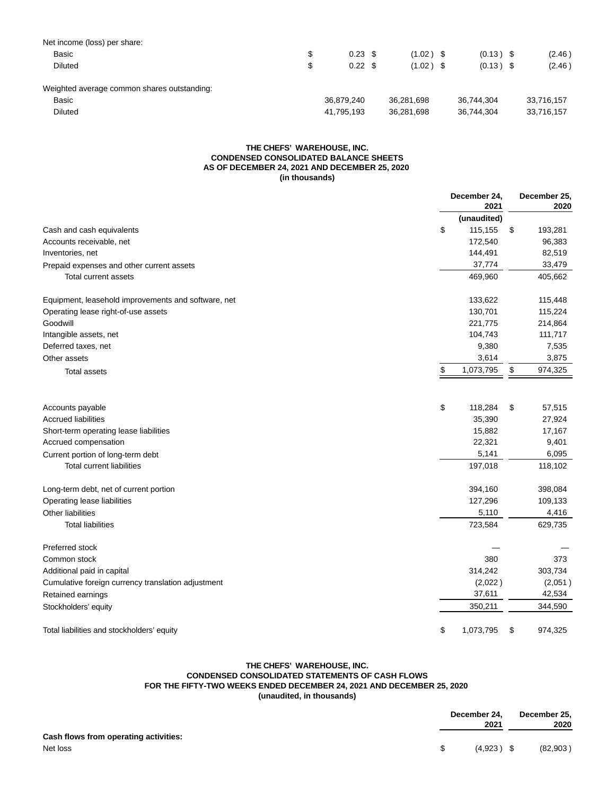| Net income (loss) per share:                |                         |             |             |            |
|---------------------------------------------|-------------------------|-------------|-------------|------------|
| Basic                                       | \$<br>$0.23$ \$         | $(1.02)$ \$ | $(0.13)$ \$ | (2.46)     |
| <b>Diluted</b>                              | \$<br>$0.22 \text{ } $$ | $(1.02)$ \$ | $(0.13)$ \$ | (2.46)     |
| Weighted average common shares outstanding: |                         |             |             |            |
| Basic                                       | 36.879.240              | 36.281.698  | 36.744.304  | 33,716,157 |
| <b>Diluted</b>                              | 41,795,193              | 36,281,698  | 36,744,304  | 33,716,157 |

# **THE CHEFS' WAREHOUSE, INC. CONDENSED CONSOLIDATED BALANCE SHEETS AS OF DECEMBER 24, 2021 AND DECEMBER 25, 2020 (in thousands)**

|                                                     | December 24,<br>2021    |    |                  |
|-----------------------------------------------------|-------------------------|----|------------------|
|                                                     | (unaudited)             |    |                  |
| Cash and cash equivalents                           | \$<br>115,155           | \$ | 193,281          |
| Accounts receivable, net                            | 172,540                 |    | 96,383           |
| Inventories, net                                    | 144,491                 |    | 82,519           |
| Prepaid expenses and other current assets           | 37,774                  |    | 33,479           |
| Total current assets                                | 469,960                 |    | 405,662          |
| Equipment, leasehold improvements and software, net | 133,622                 |    | 115,448          |
| Operating lease right-of-use assets                 | 130,701                 |    | 115,224          |
| Goodwill                                            | 221,775                 |    | 214,864          |
| Intangible assets, net                              | 104,743                 |    | 111,717          |
| Deferred taxes, net                                 | 9,380                   |    | 7,535            |
| Other assets                                        | 3,614                   |    | 3,875            |
| <b>Total assets</b>                                 | \$<br>1,073,795         | \$ | 974,325          |
|                                                     |                         |    |                  |
| Accounts payable<br><b>Accrued liabilities</b>      | \$<br>118,284<br>35,390 | \$ | 57,515<br>27,924 |
| Short-term operating lease liabilities              | 15,882                  |    | 17,167           |
| Accrued compensation                                | 22,321                  |    | 9,401            |
| Current portion of long-term debt                   | 5,141                   |    | 6,095            |
|                                                     |                         |    |                  |
| <b>Total current liabilities</b>                    | 197,018                 |    | 118,102          |
| Long-term debt, net of current portion              | 394,160                 |    | 398,084          |
| Operating lease liabilities                         | 127,296                 |    | 109,133          |
| Other liabilities                                   | 5,110                   |    | 4,416            |
| <b>Total liabilities</b>                            | 723,584                 |    | 629,735          |
| Preferred stock                                     |                         |    |                  |
| Common stock                                        | 380                     |    | 373              |
| Additional paid in capital                          | 314,242                 |    | 303,734          |
| Cumulative foreign currency translation adjustment  | (2,022)                 |    | (2,051)          |
| Retained earnings                                   | 37,611                  |    | 42,534           |
| Stockholders' equity                                | 350,211                 |    | 344,590          |
| Total liabilities and stockholders' equity          | \$<br>1,073,795         | \$ | 974,325          |

# **THE CHEFS' WAREHOUSE, INC. CONDENSED CONSOLIDATED STATEMENTS OF CASH FLOWS FOR THE FIFTY-TWO WEEKS ENDED DECEMBER 24, 2021 AND DECEMBER 25, 2020 (unaudited, in thousands)**

|                                       | December 24,<br>2021 | December 25,<br>2020 |
|---------------------------------------|----------------------|----------------------|
| Cash flows from operating activities: |                      |                      |
| Net loss                              | $(4.923)$ \$         | (82,903)             |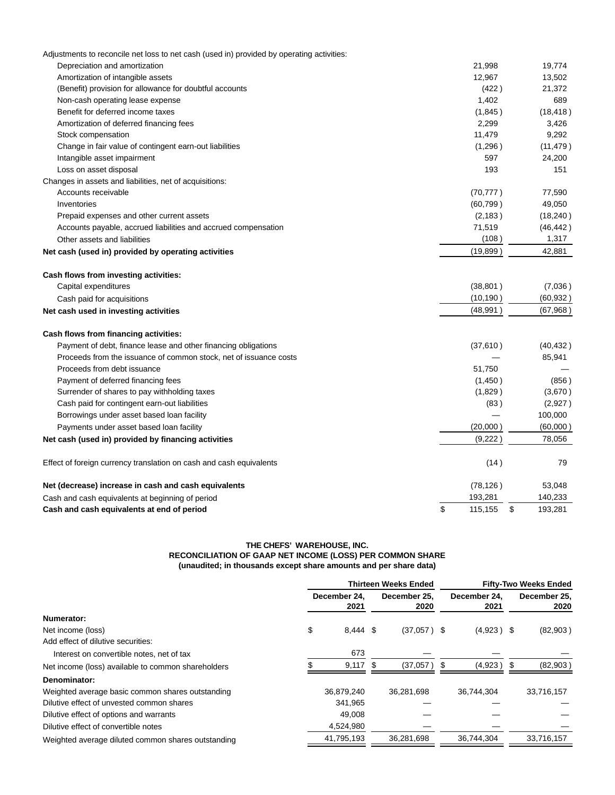| Adjustments to reconcile net loss to net cash (used in) provided by operating activities: |               |               |
|-------------------------------------------------------------------------------------------|---------------|---------------|
| Depreciation and amortization                                                             | 21,998        | 19,774        |
| Amortization of intangible assets                                                         | 12,967        | 13,502        |
| (Benefit) provision for allowance for doubtful accounts                                   | (422)         | 21,372        |
| Non-cash operating lease expense                                                          | 1,402         | 689           |
| Benefit for deferred income taxes                                                         | (1,845)       | (18, 418)     |
| Amortization of deferred financing fees                                                   | 2,299         | 3,426         |
| Stock compensation                                                                        | 11,479        | 9,292         |
| Change in fair value of contingent earn-out liabilities                                   | (1,296)       | (11, 479)     |
| Intangible asset impairment                                                               | 597           | 24,200        |
| Loss on asset disposal                                                                    | 193           | 151           |
| Changes in assets and liabilities, net of acquisitions:                                   |               |               |
| Accounts receivable                                                                       | (70, 777)     | 77,590        |
| Inventories                                                                               | (60, 799)     | 49,050        |
| Prepaid expenses and other current assets                                                 | (2, 183)      | (18, 240)     |
| Accounts payable, accrued liabilities and accrued compensation                            | 71,519        | (46, 442)     |
| Other assets and liabilities                                                              | (108)         | 1,317         |
| Net cash (used in) provided by operating activities                                       | (19, 899)     | 42,881        |
| Cash flows from investing activities:                                                     |               |               |
| Capital expenditures                                                                      | (38, 801)     | (7,036)       |
| Cash paid for acquisitions                                                                | (10, 190)     | (60, 932)     |
| Net cash used in investing activities                                                     | (48, 991)     | (67,968)      |
| Cash flows from financing activities:                                                     |               |               |
| Payment of debt, finance lease and other financing obligations                            | (37, 610)     | (40, 432)     |
| Proceeds from the issuance of common stock, net of issuance costs                         |               | 85,941        |
| Proceeds from debt issuance                                                               | 51,750        |               |
| Payment of deferred financing fees                                                        | (1,450)       | (856)         |
| Surrender of shares to pay withholding taxes                                              | (1,829)       | (3,670)       |
| Cash paid for contingent earn-out liabilities                                             | (83)          | (2,927)       |
| Borrowings under asset based loan facility                                                |               | 100,000       |
| Payments under asset based loan facility                                                  | (20,000)      | (60,000)      |
| Net cash (used in) provided by financing activities                                       | (9,222)       | 78,056        |
| Effect of foreign currency translation on cash and cash equivalents                       | (14)          | 79            |
| Net (decrease) increase in cash and cash equivalents                                      | (78, 126)     | 53,048        |
| Cash and cash equivalents at beginning of period                                          | 193,281       | 140,233       |
| Cash and cash equivalents at end of period                                                | \$<br>115,155 | \$<br>193.281 |

# **THE CHEFS' WAREHOUSE, INC. RECONCILIATION OF GAAP NET INCOME (LOSS) PER COMMON SHARE (unaudited; in thousands except share amounts and per share data)**

|                                                    | <b>Thirteen Weeks Ended</b> |                      |     |                      | <b>Fifty-Two Weeks Ended</b> |                      |     |                      |
|----------------------------------------------------|-----------------------------|----------------------|-----|----------------------|------------------------------|----------------------|-----|----------------------|
|                                                    |                             | December 24.<br>2021 |     | December 25.<br>2020 |                              | December 24.<br>2021 |     | December 25.<br>2020 |
| Numerator:                                         |                             |                      |     |                      |                              |                      |     |                      |
| Net income (loss)                                  | \$                          | 8,444 \$             |     | $(37,057)$ \$        |                              | $(4.923)$ \$         |     | (82,903)             |
| Add effect of dilutive securities:                 |                             |                      |     |                      |                              |                      |     |                      |
| Interest on convertible notes, net of tax          |                             | 673                  |     |                      |                              |                      |     |                      |
| Net income (loss) available to common shareholders |                             | 9,117                | \$. | (37,057)             | \$.                          | (4,923)              | \$. | (82,903)             |
| Denominator:                                       |                             |                      |     |                      |                              |                      |     |                      |
| Weighted average basic common shares outstanding   |                             | 36,879,240           |     | 36.281.698           |                              | 36,744,304           |     | 33,716,157           |
| Dilutive effect of unvested common shares          |                             | 341,965              |     |                      |                              |                      |     |                      |
| Dilutive effect of options and warrants            |                             | 49,008               |     |                      |                              |                      |     |                      |
| Dilutive effect of convertible notes               |                             | 4,524,980            |     |                      |                              |                      |     |                      |
| Weighted average diluted common shares outstanding |                             | 41,795,193           |     | 36,281,698           |                              | 36.744.304           |     | 33,716,157           |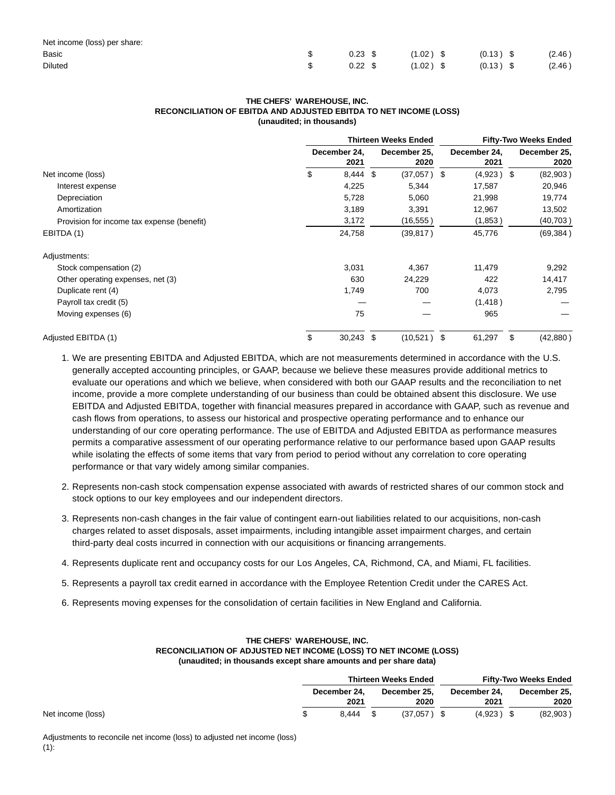| Net income (loss) per share: |                              |             |        |
|------------------------------|------------------------------|-------------|--------|
| Basic                        |                              |             | (2.46) |
| <b>Diluted</b>               | $0.22 \text{ }$ \$ (1.02) \$ | $(0.13)$ \$ | (2.46) |

#### **THE CHEFS' WAREHOUSE, INC. RECONCILIATION OF EBITDA AND ADJUSTED EBITDA TO NET INCOME (LOSS) (unaudited; in thousands)**

|                                            | <b>Thirteen Weeks Ended</b> |     |                      | <b>Fifty-Two Weeks Ended</b> |                      |    |                      |
|--------------------------------------------|-----------------------------|-----|----------------------|------------------------------|----------------------|----|----------------------|
|                                            | December 24,<br>2021        |     | December 25,<br>2020 |                              | December 24,<br>2021 |    | December 25,<br>2020 |
| Net income (loss)                          | \$<br>8,444                 | -\$ | (37,057 )            | -\$                          | $(4,923)$ \$         |    | (82,903)             |
| Interest expense                           | 4,225                       |     | 5,344                |                              | 17,587               |    | 20,946               |
| Depreciation                               | 5,728                       |     | 5,060                |                              | 21,998               |    | 19,774               |
| Amortization                               | 3,189                       |     | 3,391                |                              | 12,967               |    | 13,502               |
| Provision for income tax expense (benefit) | 3,172                       |     | (16, 555)            |                              | (1,853)              |    | (40, 703)            |
| EBITDA (1)                                 | 24,758                      |     | (39, 817)            |                              | 45,776               |    | (69, 384)            |
| Adjustments:                               |                             |     |                      |                              |                      |    |                      |
| Stock compensation (2)                     | 3,031                       |     | 4,367                |                              | 11,479               |    | 9,292                |
| Other operating expenses, net (3)          | 630                         |     | 24,229               |                              | 422                  |    | 14,417               |
| Duplicate rent (4)                         | 1,749                       |     | 700                  |                              | 4,073                |    | 2,795                |
| Payroll tax credit (5)                     |                             |     |                      |                              | (1, 418)             |    |                      |
| Moving expenses (6)                        | 75                          |     |                      |                              | 965                  |    |                      |
| Adjusted EBITDA (1)                        | \$<br>$30,243$ \$           |     | (10,521)             | -\$                          | 61,297               | \$ | (42, 880)            |

- 1. We are presenting EBITDA and Adjusted EBITDA, which are not measurements determined in accordance with the U.S. generally accepted accounting principles, or GAAP, because we believe these measures provide additional metrics to evaluate our operations and which we believe, when considered with both our GAAP results and the reconciliation to net income, provide a more complete understanding of our business than could be obtained absent this disclosure. We use EBITDA and Adjusted EBITDA, together with financial measures prepared in accordance with GAAP, such as revenue and cash flows from operations, to assess our historical and prospective operating performance and to enhance our understanding of our core operating performance. The use of EBITDA and Adjusted EBITDA as performance measures permits a comparative assessment of our operating performance relative to our performance based upon GAAP results while isolating the effects of some items that vary from period to period without any correlation to core operating performance or that vary widely among similar companies.
- 2. Represents non-cash stock compensation expense associated with awards of restricted shares of our common stock and stock options to our key employees and our independent directors.
- 3. Represents non-cash changes in the fair value of contingent earn-out liabilities related to our acquisitions, non-cash charges related to asset disposals, asset impairments, including intangible asset impairment charges, and certain third-party deal costs incurred in connection with our acquisitions or financing arrangements.
- 4. Represents duplicate rent and occupancy costs for our Los Angeles, CA, Richmond, CA, and Miami, FL facilities.
- 5. Represents a payroll tax credit earned in accordance with the Employee Retention Credit under the CARES Act.
- 6. Represents moving expenses for the consolidation of certain facilities in New England and California.

# **THE CHEFS' WAREHOUSE, INC. RECONCILIATION OF ADJUSTED NET INCOME (LOSS) TO NET INCOME (LOSS) (unaudited; in thousands except share amounts and per share data)**

|                   |              |            | <b>Thirteen Weeks Ended</b> |              | <b>Fifty-Two Weeks Ended</b> |              |
|-------------------|--------------|------------|-----------------------------|--------------|------------------------------|--------------|
|                   | December 24. |            | December 25.                | December 24, |                              | December 25, |
|                   |              | 2021       | 2020                        | 2021         |                              | 2020         |
| Net income (loss) |              | $8.444$ \$ | $(37.057)$ \$               | $(4.923)$ \$ |                              | (82,903)     |

Adjustments to reconcile net income (loss) to adjusted net income (loss)  $(1):$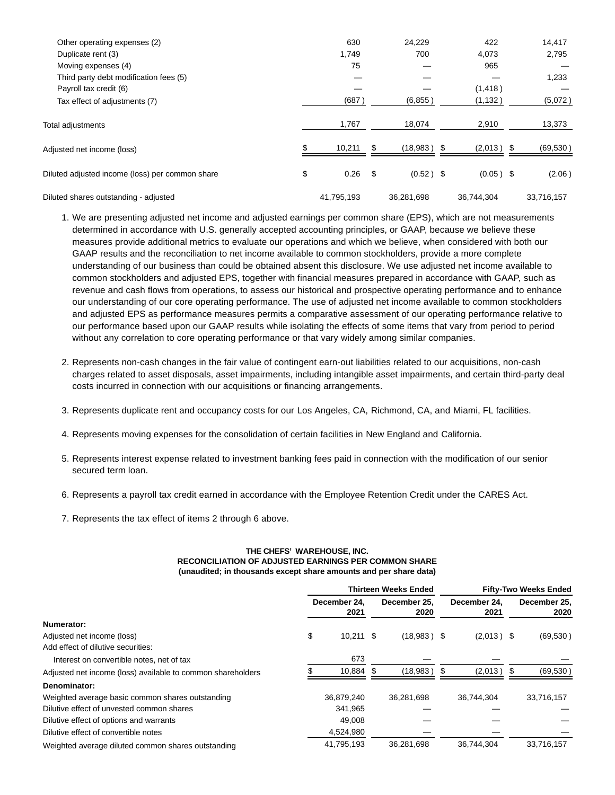| Other operating expenses (2)                    | 630        |    | 24,229      | 422                | 14,417     |
|-------------------------------------------------|------------|----|-------------|--------------------|------------|
| Duplicate rent (3)                              | 1,749      |    | 700         | 4,073              | 2,795      |
| Moving expenses (4)                             | 75         |    |             | 965                |            |
| Third party debt modification fees (5)          |            |    |             |                    | 1,233      |
| Payroll tax credit (6)                          |            |    |             | (1, 418)           |            |
| Tax effect of adjustments (7)                   | (687)      |    | (6, 855)    | (1, 132)           | (5,072)    |
| Total adjustments                               | 1,767      |    | 18,074      | 2,910              | 13,373     |
| Adjusted net income (loss)                      | 10,211     | S  | (18,983)    | \$<br>$(2,013)$ \$ | (69, 530)  |
| Diluted adjusted income (loss) per common share | \$<br>0.26 | \$ | $(0.52)$ \$ | $(0.05)$ \$        | (2.06)     |
| Diluted shares outstanding - adjusted           | 41,795,193 |    | 36.281.698  | 36.744.304         | 33.716.157 |

- 1. We are presenting adjusted net income and adjusted earnings per common share (EPS), which are not measurements determined in accordance with U.S. generally accepted accounting principles, or GAAP, because we believe these measures provide additional metrics to evaluate our operations and which we believe, when considered with both our GAAP results and the reconciliation to net income available to common stockholders, provide a more complete understanding of our business than could be obtained absent this disclosure. We use adjusted net income available to common stockholders and adjusted EPS, together with financial measures prepared in accordance with GAAP, such as revenue and cash flows from operations, to assess our historical and prospective operating performance and to enhance our understanding of our core operating performance. The use of adjusted net income available to common stockholders and adjusted EPS as performance measures permits a comparative assessment of our operating performance relative to our performance based upon our GAAP results while isolating the effects of some items that vary from period to period without any correlation to core operating performance or that vary widely among similar companies.
- 2. Represents non-cash changes in the fair value of contingent earn-out liabilities related to our acquisitions, non-cash charges related to asset disposals, asset impairments, including intangible asset impairments, and certain third-party deal costs incurred in connection with our acquisitions or financing arrangements.
- 3. Represents duplicate rent and occupancy costs for our Los Angeles, CA, Richmond, CA, and Miami, FL facilities.
- 4. Represents moving expenses for the consolidation of certain facilities in New England and California.
- 5. Represents interest expense related to investment banking fees paid in connection with the modification of our senior secured term loan.
- 6. Represents a payroll tax credit earned in accordance with the Employee Retention Credit under the CARES Act.
- 7. Represents the tax effect of items 2 through 6 above.

# **THE CHEFS' WAREHOUSE, INC. RECONCILIATION OF ADJUSTED EARNINGS PER COMMON SHARE (unaudited; in thousands except share amounts and per share data)**

|                                                             | <b>Thirteen Weeks Ended</b> |                      |   |                      | <b>Fifty-Two Weeks Ended</b> |                      |  |                      |
|-------------------------------------------------------------|-----------------------------|----------------------|---|----------------------|------------------------------|----------------------|--|----------------------|
|                                                             |                             | December 24.<br>2021 |   | December 25.<br>2020 |                              | December 24.<br>2021 |  | December 25.<br>2020 |
| Numerator:                                                  |                             |                      |   |                      |                              |                      |  |                      |
| Adjusted net income (loss)                                  | \$                          | $10,211$ \$          |   | $(18,983)$ \$        |                              | $(2,013)$ \$         |  | (69, 530)            |
| Add effect of dilutive securities:                          |                             |                      |   |                      |                              |                      |  |                      |
| Interest on convertible notes, net of tax                   |                             | 673                  |   |                      |                              |                      |  |                      |
| Adjusted net income (loss) available to common shareholders |                             | 10,884               | S | (18,983)             | - 35                         | (2,013)              |  | (69, 530)            |
| Denominator:                                                |                             |                      |   |                      |                              |                      |  |                      |
| Weighted average basic common shares outstanding            |                             | 36,879,240           |   | 36.281.698           |                              | 36.744.304           |  | 33,716,157           |
| Dilutive effect of unvested common shares                   |                             | 341.965              |   |                      |                              |                      |  |                      |
| Dilutive effect of options and warrants                     |                             | 49.008               |   |                      |                              |                      |  |                      |
| Dilutive effect of convertible notes                        |                             | 4,524,980            |   |                      |                              |                      |  |                      |
| Weighted average diluted common shares outstanding          |                             | 41.795.193           |   | 36.281.698           |                              | 36.744.304           |  | 33.716.157           |